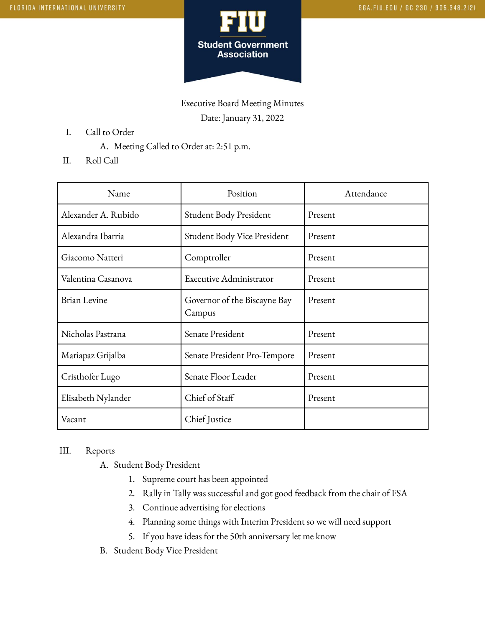

Executive Board Meeting Minutes Date: January 31, 2022

- I. Call to Order
	- A. Meeting Called to Order at: 2:51 p.m.
- II. Roll Call

| Name                | Position                               | Attendance |
|---------------------|----------------------------------------|------------|
| Alexander A. Rubido | Student Body President                 | Present    |
| Alexandra Ibarria   | Student Body Vice President            | Present    |
| Giacomo Natteri     | Comptroller                            | Present    |
| Valentina Casanova  | <b>Executive Administrator</b>         | Present    |
| <b>Brian Levine</b> | Governor of the Biscayne Bay<br>Campus | Present    |
| Nicholas Pastrana   | Senate President                       | Present    |
| Mariapaz Grijalba   | Senate President Pro-Tempore           | Present    |
| Cristhofer Lugo     | Senate Floor Leader                    | Present    |
| Elisabeth Nylander  | Chief of Staff                         | Present    |
| Vacant              | Chief Justice                          |            |

## III. Reports

- A. Student Body President
	- 1. Supreme court has been appointed
	- 2. Rally in Tally was successful and got good feedback from the chair of FSA
	- 3. Continue advertising for elections
	- 4. Planning some things with Interim President so we will need support
	- 5. If you have ideas for the 50th anniversary let me know
- B. Student Body Vice President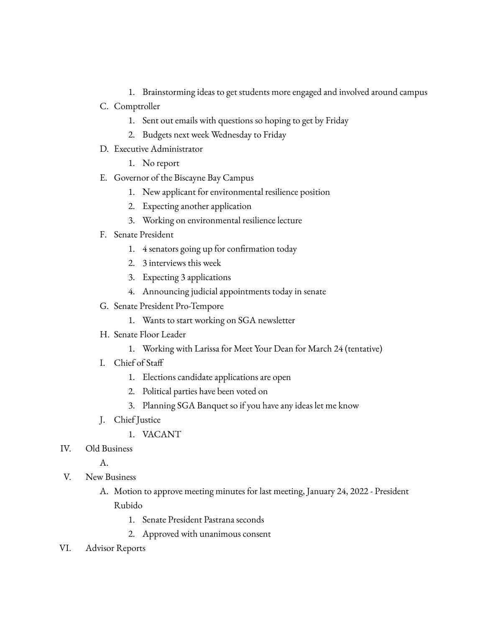- 1. Brainstorming ideas to get students more engaged and involved around campus
- C. Comptroller
	- 1. Sent out emails with questions so hoping to get by Friday
	- 2. Budgets next week Wednesday to Friday
- D. Executive Administrator
	- 1. No report
- E. Governor of the Biscayne Bay Campus
	- 1. New applicant for environmental resilience position
	- 2. Expecting another application
	- 3. Working on environmental resilience lecture
- F. Senate President
	- 1. 4 senators going up for confirmation today
	- 2. 3 interviews this week
	- 3. Expecting 3 applications
	- 4. Announcing judicial appointments today in senate
- G. Senate President Pro-Tempore
	- 1. Wants to start working on SGA newsletter
- H. Senate Floor Leader
	- 1. Working with Larissa for Meet Your Dean for March 24 (tentative)
- I. Chief of Staff
	- 1. Elections candidate applications are open
	- 2. Political parties have been voted on
	- 3. Planning SGA Banquet so if you have any ideas let me know
- J. Chief Justice
	- 1. VACANT
- IV. Old Business

A.

- V. New Business
	- A. Motion to approve meeting minutes for last meeting, January 24, 2022 President Rubido
		- 1. Senate President Pastrana seconds
		- 2. Approved with unanimous consent
- VI. Advisor Reports